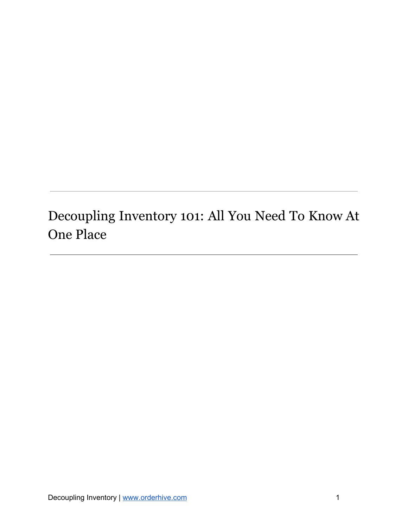# <span id="page-0-0"></span>Decoupling Inventory 101: All You Need To Know At One Place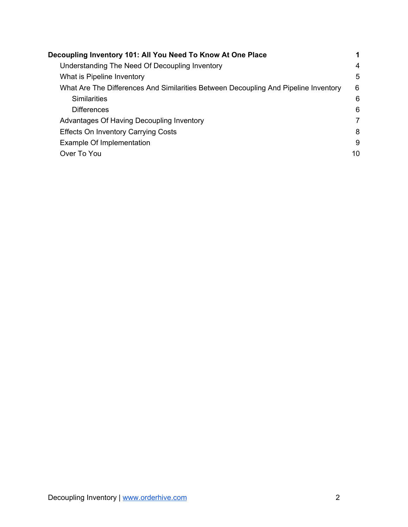| Decoupling Inventory 101: All You Need To Know At One Place                         |                |
|-------------------------------------------------------------------------------------|----------------|
| Understanding The Need Of Decoupling Inventory                                      | 4              |
| What is Pipeline Inventory                                                          | 5              |
| What Are The Differences And Similarities Between Decoupling And Pipeline Inventory | 6              |
| <b>Similarities</b>                                                                 | 6              |
| <b>Differences</b>                                                                  | 6              |
| Advantages Of Having Decoupling Inventory                                           | $\overline{7}$ |
| <b>Effects On Inventory Carrying Costs</b>                                          | 8              |
| Example Of Implementation                                                           | 9              |
| Over To You                                                                         | 10             |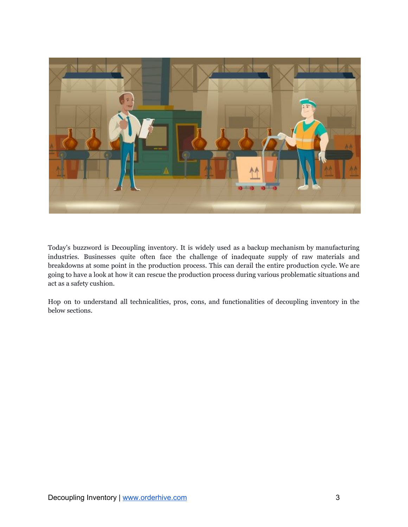

Today's buzzword is Decoupling inventory. It is widely used as a backup mechanism by manufacturing industries. Businesses quite often face the challenge of inadequate supply of raw materials and breakdowns at some point in the production process. This can derail the entire production cycle. We are going to have a look at how it can rescue the production process during various problematic situations and act as a safety cushion.

Hop on to understand all technicalities, pros, cons, and functionalities of decoupling inventory in the below sections.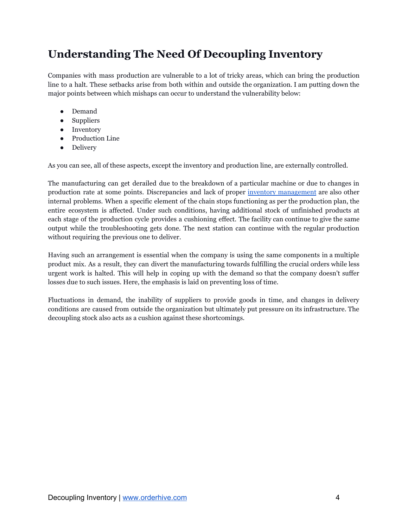## <span id="page-3-0"></span>**Understanding The Need Of Decoupling Inventory**

Companies with mass production are vulnerable to a lot of tricky areas, which can bring the production line to a halt. These setbacks arise from both within and outside the organization. I am putting down the major points between which mishaps can occur to understand the vulnerability below:

- Demand
- Suppliers
- Inventory
- Production Line
- Delivery

As you can see, all of these aspects, except the inventory and production line, are externally controlled.

The manufacturing can get derailed due to the breakdown of a particular machine or due to changes in production rate at some points. Discrepancies and lack of proper inventory [management](https://www.orderhive.com/analyze-break-data-optimize-inventory-levels?utm_source=Neel&utm_medium=Decoupling%20Inventory&utm_campaign=PDF) are also other internal problems. When a specific element of the chain stops functioning as per the production plan, the entire ecosystem is affected. Under such conditions, having additional stock of unfinished products at each stage of the production cycle provides a cushioning effect. The facility can continue to give the same output while the troubleshooting gets done. The next station can continue with the regular production without requiring the previous one to deliver.

Having such an arrangement is essential when the company is using the same components in a multiple product mix. As a result, they can divert the manufacturing towards fulfilling the crucial orders while less urgent work is halted. This will help in coping up with the demand so that the company doesn't suffer losses due to such issues. Here, the emphasis is laid on preventing loss of time.

Fluctuations in demand, the inability of suppliers to provide goods in time, and changes in delivery conditions are caused from outside the organization but ultimately put pressure on its infrastructure. The decoupling stock also acts as a cushion against these shortcomings.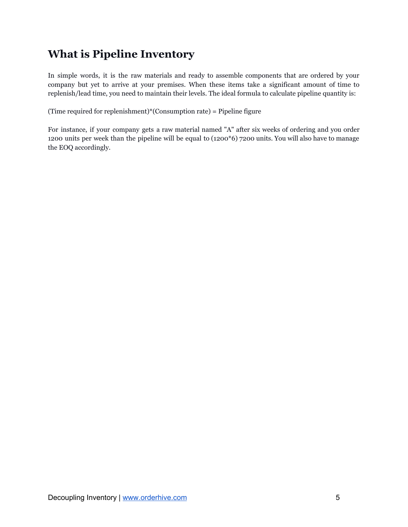## <span id="page-4-0"></span>**What is Pipeline Inventory**

In simple words, it is the raw materials and ready to assemble components that are ordered by your company but yet to arrive at your premises. When these items take a significant amount of time to replenish/lead time, you need to maintain their levels. The ideal formula to calculate pipeline quantity is:

(Time required for replenishment)\*(Consumption rate) = Pipeline figure

For instance, if your company gets a raw material named "A" after six weeks of ordering and you order 1200 units per week than the pipeline will be equal to (1200\*6) 7200 units. You will also have to manage the EOQ accordingly.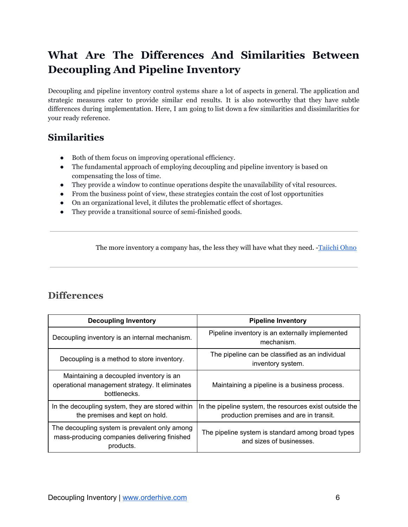# <span id="page-5-0"></span>**What Are The Differences And Similarities Between Decoupling And Pipeline Inventory**

Decoupling and pipeline inventory control systems share a lot of aspects in general. The application and strategic measures cater to provide similar end results. It is also noteworthy that they have subtle differences during implementation. Here, I am going to list down a few similarities and dissimilarities for your ready reference.

#### <span id="page-5-1"></span>**Similarities**

- Both of them focus on improving operational efficiency.
- The fundamental approach of employing decoupling and pipeline inventory is based on compensating the loss of time.
- They provide a window to continue operations despite the unavailability of vital resources.
- From the business point of view, these strategies contain the cost of lost opportunities
- On an organizational level, it dilutes the problematic effect of shortages.
- They provide a transitional source of semi-finished goods.

The more inventory a company has, the less they will have what they need. -[Taiichi](http://www.leansixsigmadefinition.com/glossary/taiichi-ohno/) Ohno

#### <span id="page-5-2"></span>**Differences**

| <b>Decoupling Inventory</b>                                                                                | <b>Pipeline Inventory</b>                                                                          |
|------------------------------------------------------------------------------------------------------------|----------------------------------------------------------------------------------------------------|
| Decoupling inventory is an internal mechanism.                                                             | Pipeline inventory is an externally implemented<br>mechanism.                                      |
| Decoupling is a method to store inventory.                                                                 | The pipeline can be classified as an individual<br>inventory system.                               |
| Maintaining a decoupled inventory is an<br>operational management strategy. It eliminates<br>bottlenecks.  | Maintaining a pipeline is a business process.                                                      |
| In the decoupling system, they are stored within<br>the premises and kept on hold.                         | In the pipeline system, the resources exist outside the<br>production premises and are in transit. |
| The decoupling system is prevalent only among<br>mass-producing companies delivering finished<br>products. | The pipeline system is standard among broad types<br>and sizes of businesses.                      |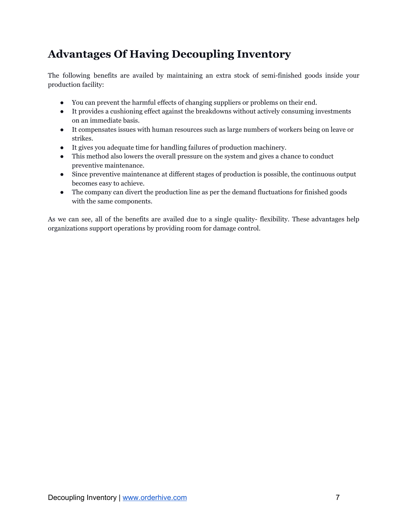## <span id="page-6-0"></span>**Advantages Of Having Decoupling Inventory**

The following benefits are availed by maintaining an extra stock of semi-finished goods inside your production facility:

- You can prevent the harmful effects of changing suppliers or problems on their end.
- It provides a cushioning effect against the breakdowns without actively consuming investments on an immediate basis.
- It compensates issues with human resources such as large numbers of workers being on leave or strikes.
- It gives you adequate time for handling failures of production machinery.
- This method also lowers the overall pressure on the system and gives a chance to conduct preventive maintenance.
- Since preventive maintenance at different stages of production is possible, the continuous output becomes easy to achieve.
- The company can divert the production line as per the demand fluctuations for finished goods with the same components.

As we can see, all of the benefits are availed due to a single quality- flexibility. These advantages help organizations support operations by providing room for damage control.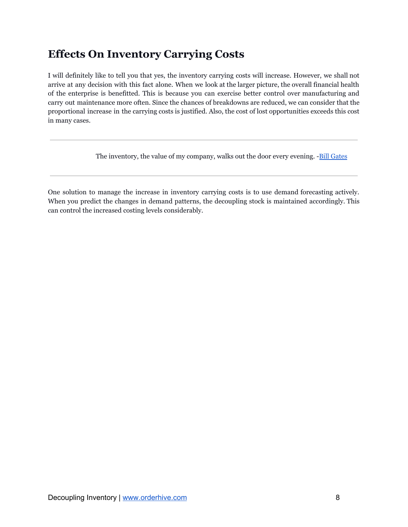### <span id="page-7-0"></span>**Effects On Inventory Carrying Costs**

I will definitely like to tell you that yes, the inventory carrying costs will increase. However, we shall not arrive at any decision with this fact alone. When we look at the larger picture, the overall financial health of the enterprise is benefitted. This is because you can exercise better control over manufacturing and carry out maintenance more often. Since the chances of breakdowns are reduced, we can consider that the proportional increase in the carrying costs is justified. Also, the cost of lost opportunities exceeds this cost in many cases.

The inventory, the value of my company, walks out the door every evening. -Bill [Gates](https://www.forbes.com/profile/bill-gates/#373d2b3c689f)

One solution to manage the increase in inventory carrying costs is to use demand forecasting actively. When you predict the changes in demand patterns, the decoupling stock is maintained accordingly. This can control the increased costing levels considerably.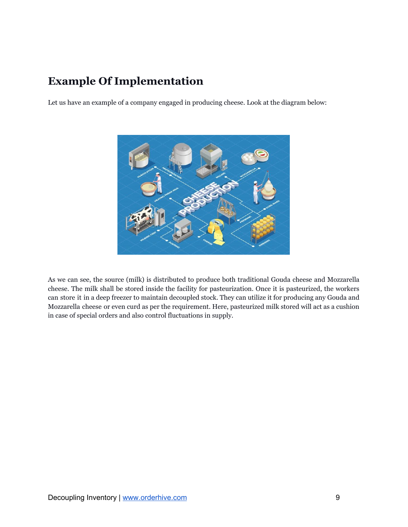### <span id="page-8-0"></span>**Example Of Implementation**

Let us have an example of a company engaged in producing cheese. Look at the diagram below:



As we can see, the source (milk) is distributed to produce both traditional Gouda cheese and Mozzarella cheese. The milk shall be stored inside the facility for pasteurization. Once it is pasteurized, the workers can store it in a deep freezer to maintain decoupled stock. They can utilize it for producing any Gouda and Mozzarella cheese or even curd as per the requirement. Here, pasteurized milk stored will act as a cushion in case of special orders and also control fluctuations in supply.